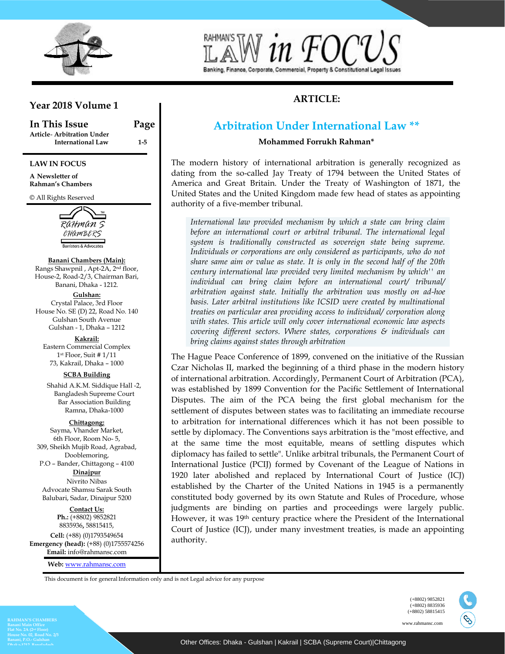

# Banking, Finance, Corporate, Commercial, Property & Constitutional Legal Issues

# **ARTICLE:**

# **Year 2018 Volume 1**

**In This Issue Page Article**- **Arbitration Under International Law 1-5**

#### **LAW IN FOCUS**

**A Newsletter of Rahman's Chambers**

© All Rights Reserved



#### **Banani Chambers (Main):**

Rangs Shawpnil , Apt-2A, 2nd floor, House-2, Road-2/3, Chairman Bari, Banani, Dhaka - 1212.

**Gulshan:** Crystal Palace, 3rd Floor House No. SE (D) 22, Road No. 140 Gulshan South Avenue Gulshan - 1, Dhaka – 1212

**Kakrail:** Eastern Commercial Complex 1 st Floor, Suit # 1/11 73, Kakrail, Dhaka – 1000

**SCBA Building** 

Shahid A.K.M. Siddique Hall -2, Bangladesh Supreme Court Bar Association Building Ramna, Dhaka-1000

#### **Chittagong:**

Sayma, Vhander Market, 6th Floor, Room No- 5, 309, Sheikh Mujib Road, Agrabad, Dooblemoring, P.O – Bander, Chittagong – 4100

**Dinajpur** Nivrito Nibas Advocate Shamsu Sarak South Balubari, Sadar, Dinajpur 5200

> **Contact Us: Ph.:** (+8802) 9852821 8835936**,** 58815415,

**Cell:** (+88) (0)1793549654 **Emergency (head):** (+88) (0)1755574256 **Email:** [info@rahmansc.com](mailto:rahmansc@gmail.com)

**Web:** [www.rahmansc.com](http://www.rahmansc.com/)

#### $\Delta$ rhitrati Arbitration Under International Law  $^{**}$

**Mohammed Forrukh Rahman\***

The modern history of international arbitration is generally recognized as dating from the so-called Jay Treaty of 1794 between the United States of America and Great Britain. Under the Treaty of Washington of 1871, the United States and the United Kingdom made few head of states as appointing authority of a five-member tribunal.

with states. This article will only cover international economic law aspects covering different sectors. Where states, corporations & individuals can <br>*king claims against states through arbitration* bring claims against states through arbitration *International law provided mechanism by which a state can bring claim before an international court or arbitral tribunal. The international legal system is traditionally constructed as sovereign state being supreme. Individuals or corporations are only considered as participants, who do not share same aim or value as state. It is only in the second half of the 20th century international law provided very limited mechanism by which'' an individual can bring claim before an international court/ tribunal/ arbitration against state. Initially the arbitration was mostly on ad-hoe basis. Later arbitral institutions like ICSID were created by multinational treaties on particular area providing access to individual/ corporation along* 

The Hague Peace Conference of 1899, convened on the initiative of the Russian Czar Nicholas II, marked the beginning of a third phase in the modern history of international arbitration. Accordingly, Permanent Court of Arbitration (PCA), was established by 1899 Convention for the Pacific Settlement of International  $\frac{\text{by 10}}{100}$  COIN Disputes. The aim of the PCA being the first global mechanism for the settlement of disputes between states was to facilitating an immediate recourse to arbitration for international differences which it has not been possible to settle by diplomacy. The Conventions says arbitration is the "most effective, and at the same time the most equitable, means of settling disputes which diplomacy has failed to settle". Unlike arbitral tribunals, the Permanent Court of International Justice (PCIJ) formed by Covenant of the League of Nations in 1920 later abolished and replaced by International Court of Justice (ICJ) established by the Charter of the United Nations in 1945 is a permanently constituted body governed by its own Statute and Rules of Procedure, whose judgments are binding on parties and proceedings were largely public. However, it was 19th century practice where the President of the International Court of Justice (ICJ), under many investment treaties, is made an appointing authority.

This document is for generalInformation only and is not Legal advice for any purpose

**House No. 02, Road No. 2/3**

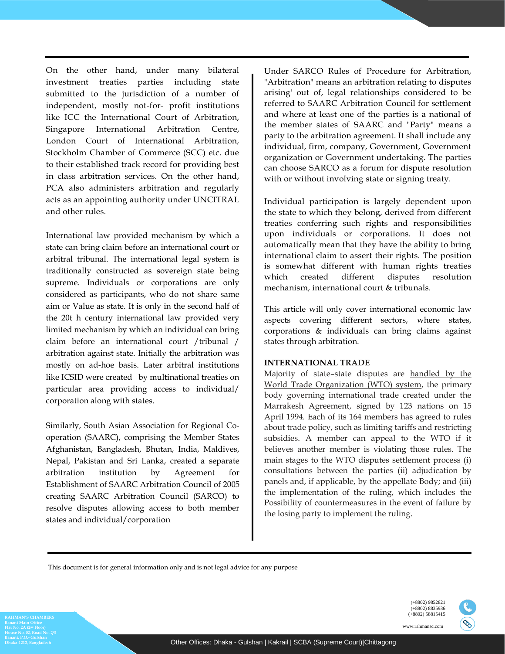On the other hand, under many bilateral investment treaties parties including state submitted to the jurisdiction of a number of independent, mostly not-for- profit institutions like ICC the International Court of Arbitration, Singapore International Arbitration Centre, London Court of International Arbitration, Stockholm Chamber of Commerce (SCC) etc. due to their established track record for providing best in class arbitration services. On the other hand, PCA also administers arbitration and regularly acts as an appointing authority under UNCITRAL and other rules.

International law provided mechanism by which a state can bring claim before an international court or arbitral tribunal. The international legal system is traditionally constructed as sovereign state being supreme. Individuals or corporations are only considered as participants, who do not share same aim or Value as state. It is only in the second half of the 20t h century international law provided very limited mechanism by which an individual can bring claim before an international court /tribunal / arbitration against state. Initially the arbitration was mostly on ad-hoe basis. Later arbitral institutions like ICSID were created by multinational treaties on particular area providing access to individual/ corporation along with states.

Similarly, South Asian Association for Regional Cooperation (SAARC), comprising the Member States Afghanistan, Bangladesh, Bhutan, India, Maldives, Nepal, Pakistan and Sri Lanka, created a separate arbitration institution by Agreement for Establishment of SAARC Arbitration Council of 2005 creating SAARC Arbitration Council (SARCO) to resolve disputes allowing access to both member states and individual/corporation

Under SARCO Rules of Procedure for Arbitration, "Arbitration" means an arbitration relating to disputes arising' out of, legal relationships considered to be referred to SAARC Arbitration Council for settlement and where at least one of the parties is a national of the member states of SAARC and "Party" means a party to the arbitration agreement. It shall include any individual, firm, company, Government, Government organization or Government undertaking. The parties can choose SARCO as a forum for dispute resolution with or without involving state or signing treaty.

Individual participation is largely dependent upon the state to which they belong, derived from different treaties conferring such rights and responsibilities upon individuals or corporations. It does not automatically mean that they have the ability to bring international claim to assert their rights. The position is somewhat different with human rights treaties which created different disputes resolution mechanism, international court & tribunals.

This article will only cover international economic law aspects covering different sectors, where states, corporations & individuals can bring claims against states through arbitration.

#### **INTERNATIONAL TRADE**

Majority of state–state disputes are handled by the World Trade Organization (WTO) system, the primary body governing international trade created under the Marrakesh Agreement, signed by 123 nations on 15 April 1994. Each of its 164 members has agreed to rules about trade policy, such as limiting tariffs and restricting subsidies. A member can appeal to the WTO if it believes another member is violating those rules. The main stages to the WTO disputes settlement process (i) consultations between the parties (ii) adjudication by panels and, if applicable, by the appellate Body; and (iii) the implementation of the ruling, which includes the Possibility of countermeasures in the event of failure by the losing party to implement the ruling.

This document is for general information only and is not legal advice for any purpose



ES.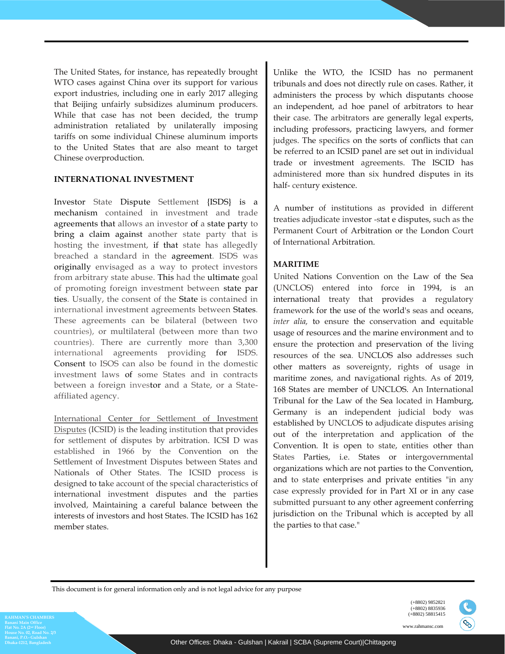The United States, for instance, has repeatedly brought WTO cases against China over its support for various export industries, including one in early 2017 alleging that Beijing unfairly subsidizes aluminum producers. While that case has not been decided, the trump administration retaliated by unilaterally imposing tariffs on some individual Chinese aluminum imports to the United States that are also meant to target Chinese overproduction.

#### **INTERNATIONAL INVESTMENT**

Investor State Dispute Settlement {ISDS} is a mechanism contained in investment and trade agreements that allows an investor of a state party to bring a claim against another state party that is hosting the investment, if that state has allegedly breached a standard in the agreement. ISDS was originally envisaged as a way to protect investors from arbitrary state abuse. This had the ultimate goal of promoting foreign investment between state par ties. Usually, the consent of the State is contained in international investment agreements between States. These agreements can be bilateral (between two countries), or multilateral (between more than two countries). There are currently more than 3,300 international agreements providing for ISDS. Consent to ISOS can also be found in the domestic investment laws of some States and in contracts between a foreign investor and a State, or a Stateaffiliated agency.

International Center for Settlement of Investment Disputes (ICSID) is the leading institution that provides for settlement of disputes by arbitration. ICSI D was established in 1966 by the Convention on the Settlement of Investment Disputes between States and Nationals of Other States. The ICSID process is designed to take account of the special characteristics of international investment disputes and the parties involved, Maintaining a careful balance between the interests of investors and host States. The ICSID has 162 member states.

Unlike the WTO, the ICSID has no permanent tribunals and does not directly rule on cases. Rather, it administers the process by which disputants choose an independent, ad hoe panel of arbitrators to hear their case. The arbitrators are generally legal experts, including professors, practicing lawyers, and former judges. The specifics on the sorts of conflicts that can be referred to an ICSID panel are set out in individual trade or investment agreements. The ISCID has administered more than six hundred disputes in its half- century existence.

A number of institutions as provided in different treaties adjudicate investor -stat e disputes, such as the Permanent Court of Arbitration or the London Court of International Arbitration.

### **MARITIME**

 United Nations Convention on the Law of the Sea (UNCLOS) entered into force in 1994, is an international treaty that provides a regulatory framework for the use of the world's seas and oceans, *inter alia,* to ensure the conservation and equitable usage of resources and the marine environment and to ensure the protection and preservation of the living resources of the sea. UNCLOS also addresses such other matters as sovereignty, rights of usage in maritime zones, and navigational rights. As of 2019, 168 States are member of UNCLOS. An International Tribunal for the Law of the Sea located in Hamburg, Germany is an independent judicial body was established by UNCLOS to adjudicate disputes arising out of the interpretation and application of the Convention. It is open to state, entities other than States Parties, i.e. States or intergovernmental organizations which are not parties to the Convention, and to state enterprises and private entities "in any case expressly provided for in Part XI or in any case submitted pursuant to any other agreement conferring jurisdiction on the Tribunal which is accepted by all the parties to that case."

This document is for general information only and is not legal advice for any purpose

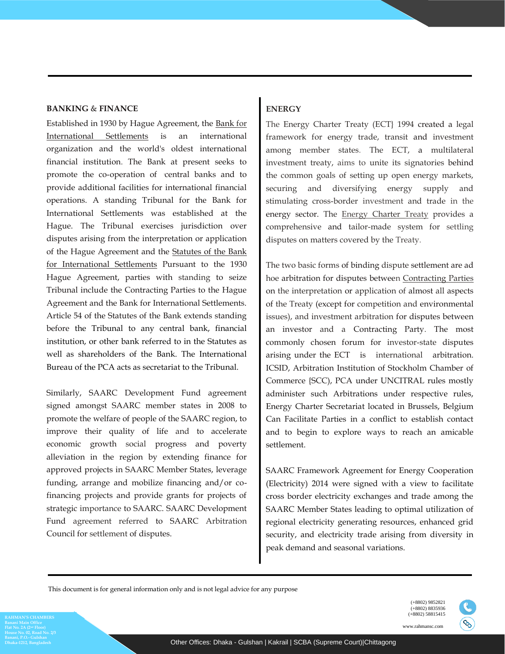#### **BANKING** & **FINANCE**

Established in 1930 by Hague Agreement, the Bank for International Settlements is an international organization and the world's oldest international financial institution. The Bank at present seeks to promote the co-operation of central banks and to provide additional facilities for international financial operations. A standing Tribunal for the Bank for International Settlements was established at the Hague. The Tribunal exercises jurisdiction over disputes arising from the interpretation or application of the Hague Agreement and the Statutes of the Bank for International Settlements Pursuant to the 1930 Hague Agreement, parties with standing to seize Tribunal include the Contracting Parties to the Hague Agreement and the Bank for International Settlements. Article 54 of the Statutes of the Bank extends standing before the Tribunal to any central bank, financial institution, or other bank referred to in the Statutes as well as shareholders of the Bank. The International Bureau of the PCA acts as secretariat to the Tribunal.

Similarly, SAARC Development Fund agreement signed amongst SAARC member states in 2008 to promote the welfare of people of the SAARC region, to improve their quality of life and to accelerate economic growth social progress and poverty alleviation in the region by extending finance for approved projects in SAARC Member States, leverage funding, arrange and mobilize financing and/or cofinancing projects and provide grants for projects of strategic importance to SAARC. SAARC Development Fund agreement referred to SAARC Arbitration Council for settlement of disputes.

## **ENERGY**

The Energy Charter Treaty (ECT} 1994 created a legal framework for energy trade, transit and investment among member states. The ECT, a multilateral investment treaty, aims to unite its signatories behind the common goals of setting up open energy markets, securing and diversifying energy supply and stimulating cross-border investment and trade in the energy sector. The Energy Charter Treaty provides a comprehensive and tailor-made system for settling disputes on matters covered by the Treaty.

The two basic forms of binding dispute settlement are ad hoe arbitration for disputes between Contracting Parties on the interpretation or application of almost all aspects of the Treaty (except for competition and environmental issues), and investment arbitration for disputes between an investor and a Contracting Party. The most commonly chosen forum for investor-state disputes arising under the ECT is international arbitration. ICSID, Arbitration Institution of Stockholm Chamber of Commerce {SCC), PCA under UNCITRAL rules mostly administer such Arbitrations under respective rules, Energy Charter Secretariat located in Brussels, Belgium Can Facilitate Parties in a conflict to establish contact and to begin to explore ways to reach an amicable settlement.

SAARC Framework Agreement for Energy Cooperation (Electricity) 2014 were signed with a view to facilitate cross border electricity exchanges and trade among the SAARC Member States leading to optimal utilization of regional electricity generating resources, enhanced grid security, and electricity trade arising from diversity in peak demand and seasonal variations.

This document is for general information only and is not legal advice for any purpose

**House No. 02, Road No. 2/3 Dhaka-1212, Bangladesh** 



S